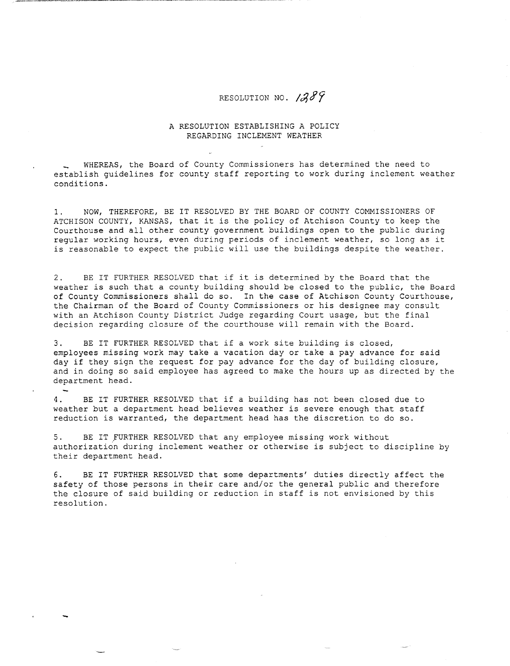## RESOLUTION NO.  $1389$

## A RESOLUTION ESTABLISHING A POLICY REGARDING INCLEMENT WEATHER

WHEREAS, the Board of County Commissioners has determined the need to establish guidelines for county staff reporting to work during inclement weather conditions.

1. NOW, THEREFORE, BE IT RESOLVED BY THE BOARD OF COUNTY COMMISSIONERS OF ATCHISON COUNTY, KANSAS, that it is the policy of Atchison County to keep the Courthouse and all other county government buildings open to the public during regular working hours, even during periods of inclement weather, so long as it is reasonable to expect the public will use the buildings despite the weather.

2. BE IT FURTHER RESOLVED that if it is determined by the Board that the weather is such that a county building should be closed to the public, the Board of County Commissioners shall do so. In the case of Atchison County Courthouse, the Chairman of the Board of County Commissioners or his designee may consult with an Atchison County District Judge regarding Court usage, but the final decision regarding closure of the courthouse will remain with the Board.

3. BE IT FURTHER RESOLVED that if a work site building is closed, employees missing work may take a vacation day or take a pay advance for said day if they sign the request for pay advance for the day of building closure, and in doing so said employee has agreed to make the hours up as directed by the department head.

4. BE IT FURTHER RESOLVED that if a building has not been closed due to weather but a department head believes weather is severe enough that staff reduction is warranted, the department head has the discretion to do so.

5. BE IT FURTHER RESOLVED that any employee missing work without authorization during inclement weather or otherwise is subject to discipline by their department head.

6. BE IT FURTHER RESOLVED that some departments' duties directly affect the safety of those persons in their care and/or the general public and therefore the closure of said building or reduction in staff is not envisioned by this resolution.